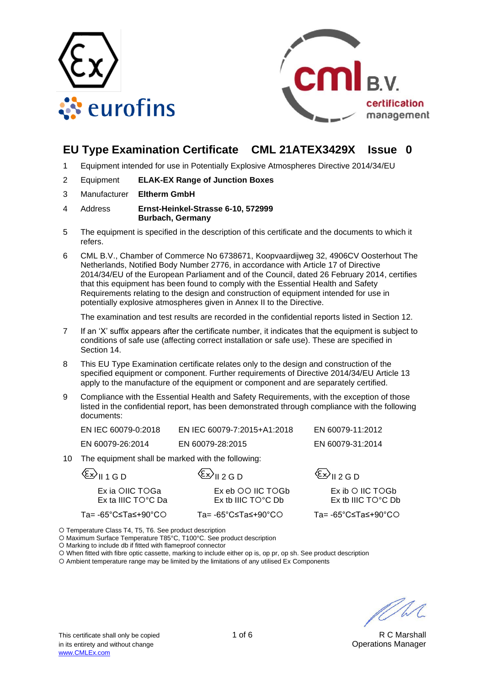



# **EU Type Examination Certificate CML 21ATEX3429X Issue 0**

- 1 Equipment intended for use in Potentially Explosive Atmospheres Directive 2014/34/EU
- 2 Equipment **ELAK-EX Range of Junction Boxes**
- 3 Manufacturer **Eltherm GmbH**

#### 4 Address **Ernst-Heinkel-Strasse 6-10, 572999 Burbach, Germany**

- 5 The equipment is specified in the description of this certificate and the documents to which it refers.
- 6 CML B.V., Chamber of Commerce No 6738671, Koopvaardijweg 32, 4906CV Oosterhout The Netherlands, Notified Body Number 2776, in accordance with Article 17 of Directive 2014/34/EU of the European Parliament and of the Council, dated 26 February 2014, certifies that this equipment has been found to comply with the Essential Health and Safety Requirements relating to the design and construction of equipment intended for use in potentially explosive atmospheres given in Annex II to the Directive.

The examination and test results are recorded in the confidential reports listed in Section 12.

- 7 If an 'X' suffix appears after the certificate number, it indicates that the equipment is subject to conditions of safe use (affecting correct installation or safe use). These are specified in Section 14.
- 8 This EU Type Examination certificate relates only to the design and construction of the specified equipment or component. Further requirements of Directive 2014/34/EU Article 13 apply to the manufacture of the equipment or component and are separately certified.
- 9 Compliance with the Essential Health and Safety Requirements, with the exception of those listed in the confidential report, has been demonstrated through compliance with the following documents:

| EN IEC 60079-0:2018 | EN IEC 60079-7:2015+A1:2018 | EN 60079-11:2012 |
|---------------------|-----------------------------|------------------|
| EN 60079-26:2014    | EN 60079-28:2015            | EN 60079-31:2014 |

10 The equipment shall be marked with the following:

| $\langle \xi x \rangle$ II 1 G D               | $\langle \xi x \rangle_{\text{II 2GD}}$                | $\langle \xi x \rangle_{\text{II 2GD}}$                   |
|------------------------------------------------|--------------------------------------------------------|-----------------------------------------------------------|
| Ex ia OIIC TOGa<br>Ex ta IIIC $TO^{\circ}C$ Da | Ex eb OO IIC TOGb<br>$Ex$ th IIIC TO <sup>o</sup> C Dh | $Ex$ ib $O$ IIC TOGb<br>$Ex$ th IIIC TO <sup>o</sup> C Dh |
| Ta= -65°C≤Ta≤+90°CO                            | Ta= -65°C≤Ta≤+90°CO                                    | Ta= -65°C≤Ta≤+90°CO                                       |

Temperature Class T4, T5, T6. See product description

O Maximum Surface Temperature T85°C, T100°C. See product description

O Marking to include db if fitted with flameproof connector

When fitted with fibre optic cassette, marking to include either op is, op pr, op sh. See product description

Ambient temperature range may be limited by the limitations of any utilised Ex Components

U / 1. 1.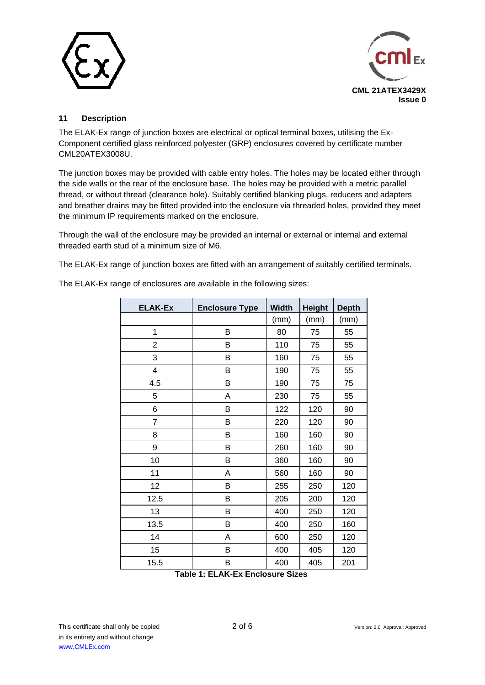



## **11 Description**

The ELAK-Ex range of junction boxes are electrical or optical terminal boxes, utilising the Ex-Component certified glass reinforced polyester (GRP) enclosures covered by certificate number CML20ATEX3008U.

The junction boxes may be provided with cable entry holes. The holes may be located either through the side walls or the rear of the enclosure base. The holes may be provided with a metric parallel thread, or without thread (clearance hole). Suitably certified blanking plugs, reducers and adapters and breather drains may be fitted provided into the enclosure via threaded holes, provided they meet the minimum IP requirements marked on the enclosure.

Through the wall of the enclosure may be provided an internal or external or internal and external threaded earth stud of a minimum size of M6.

The ELAK-Ex range of junction boxes are fitted with an arrangement of suitably certified terminals.

| <b>ELAK-Ex</b> | <b>Enclosure Type</b> | <b>Width</b> | <b>Height</b> | <b>Depth</b> |
|----------------|-----------------------|--------------|---------------|--------------|
|                |                       | (mm)         | (mm)          | (mm)         |
| 1              | B                     | 80           | 75            | 55           |
| $\overline{2}$ | B                     | 110          | 75            | 55           |
| 3              | B                     | 160          | 75            | 55           |
| 4              | B                     | 190          | 75            | 55           |
| 4.5            | B                     | 190          | 75            | 75           |
| 5              | A                     | 230          | 75            | 55           |
| 6              | B                     | 122          | 120           | 90           |
| $\overline{7}$ | B                     | 220          | 120           | 90           |
| 8              | B                     | 160          | 160           | 90           |
| 9              | B                     | 260          | 160           | 90           |
| 10             | B                     | 360          | 160           | 90           |
| 11             | A                     | 560          | 160           | 90           |
| 12             | B                     | 255          | 250           | 120          |
| 12.5           | B                     | 205          | 200           | 120          |
| 13             | B                     | 400          | 250           | 120          |
| 13.5           | B                     | 400          | 250           | 160          |
| 14             | Α                     | 600          | 250           | 120          |
| 15             | B                     | 400          | 405           | 120          |
| 15.5           | B                     | 400          | 405           | 201          |

The ELAK-Ex range of enclosures are available in the following sizes:

**Table 1: ELAK-Ex Enclosure Sizes**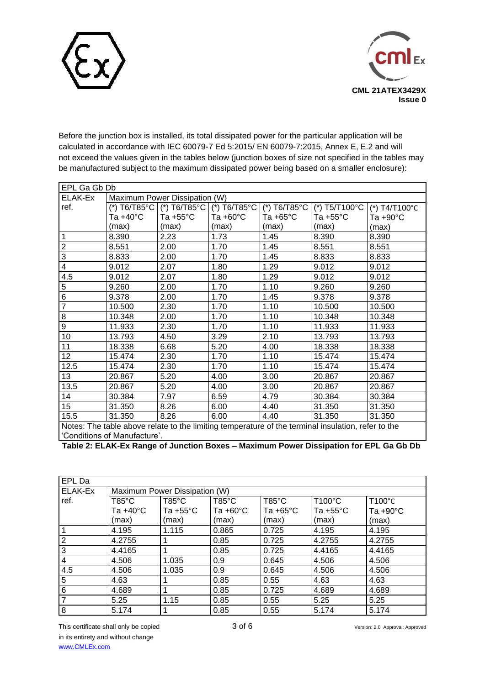



Before the junction box is installed, its total dissipated power for the particular application will be calculated in accordance with IEC 60079-7 Ed 5:2015/ EN 60079-7:2015, Annex E, E.2 and will not exceed the values given in the tables below (junction boxes of size not specified in the tables may be manufactured subject to the maximum dissipated power being based on a smaller enclosure):

| EPL Ga Gb Db                                                                                       |                               |                    |                    |                    |                                                                           |               |
|----------------------------------------------------------------------------------------------------|-------------------------------|--------------------|--------------------|--------------------|---------------------------------------------------------------------------|---------------|
| ELAK-Ex                                                                                            | Maximum Power Dissipation (W) |                    |                    |                    |                                                                           |               |
| ref.                                                                                               |                               |                    |                    |                    | (*) T6/T85°C   (*) T6/T85°C   (*) T6/T85°C   (*) T6/T85°C   (*) T5/T100°C | (*) T4/T100°C |
|                                                                                                    | Ta +40°C                      | Ta $+55^{\circ}$ C | Ta $+60^{\circ}$ C | Ta $+65^{\circ}$ C | Ta $+55^{\circ}$ C                                                        | Ta +90°C      |
|                                                                                                    | (max)                         | (max)              | (max)              | (max)              | (max)                                                                     | (max)         |
| $\mathbf{1}$                                                                                       | 8.390                         | 2.23               | 1.73               | 1.45               | 8.390                                                                     | 8.390         |
| $\overline{\mathbf{c}}$                                                                            | 8.551                         | 2.00               | 1.70               | 1.45               | 8.551                                                                     | 8.551         |
| 3                                                                                                  | 8.833                         | 2.00               | 1.70               | 1.45               | 8.833                                                                     | 8.833         |
| 4                                                                                                  | 9.012                         | 2.07               | 1.80               | 1.29               | 9.012                                                                     | 9.012         |
| 4.5                                                                                                | 9.012                         | 2.07               | 1.80               | 1.29               | 9.012                                                                     | 9.012         |
| 5                                                                                                  | 9.260                         | 2.00               | 1.70               | 1.10               | 9.260                                                                     | 9.260         |
| $\overline{6}$                                                                                     | 9.378                         | 2.00               | 1.70               | 1.45               | 9.378                                                                     | 9.378         |
| $\overline{7}$                                                                                     | 10.500                        | 2.30               | 1.70               | 1.10               | 10.500                                                                    | 10.500        |
| 8                                                                                                  | 10.348                        | 2.00               | 1.70               | 1.10               | 10.348                                                                    | 10.348        |
| 9                                                                                                  | 11.933                        | 2.30               | 1.70               | 1.10               | 11.933                                                                    | 11.933        |
| 10                                                                                                 | 13.793                        | 4.50               | 3.29               | 2.10               | 13.793                                                                    | 13.793        |
| 11                                                                                                 | 18.338                        | 6.68               | 5.20               | 4.00               | 18.338                                                                    | 18.338        |
| 12                                                                                                 | 15.474                        | 2.30               | 1.70               | 1.10               | 15.474                                                                    | 15.474        |
| 12.5                                                                                               | 15.474                        | 2.30               | 1.70               | 1.10               | 15.474                                                                    | 15.474        |
| 13                                                                                                 | 20.867                        | 5.20               | 4.00               | 3.00               | 20.867                                                                    | 20.867        |
| 13.5                                                                                               | 20.867                        | 5.20               | 4.00               | 3.00               | 20.867                                                                    | 20.867        |
| 14                                                                                                 | 30.384                        | 7.97               | 6.59               | 4.79               | 30.384                                                                    | 30.384        |
| 15                                                                                                 | 31.350                        | 8.26               | 6.00               | 4.40               | 31.350                                                                    | 31.350        |
| 15.5                                                                                               | 31.350                        | 8.26               | 6.00               | 4.40               | 31.350                                                                    | 31.350        |
| Notes: The table above relate to the limiting temperature of the terminal insulation, refer to the |                               |                    |                    |                    |                                                                           |               |

'Conditions of Manufacture'.

**Table 2: ELAK-Ex Range of Junction Boxes – Maximum Power Dissipation for EPL Ga Gb Db**

| EPL Da         |          |                               |                    |                    |                    |                    |
|----------------|----------|-------------------------------|--------------------|--------------------|--------------------|--------------------|
| ELAK-Ex        |          | Maximum Power Dissipation (W) |                    |                    |                    |                    |
| ref.           | T85°C    | $T85^{\circ}$ C               | $T85^{\circ}$ C    | $T85^{\circ}$ C    | $T100^{\circ}$ C   | T100°C             |
|                | Ta +40°C | Ta $+55^{\circ}$ C            | Ta $+60^{\circ}$ C | Ta $+65^{\circ}$ C | Ta $+55^{\circ}$ C | Ta $+90^{\circ}$ C |
|                | (max)    | (max)                         | (max)              | (max)              | (max)              | (max)              |
|                | 4.195    | 1.115                         | 0.865              | 0.725              | 4.195              | 4.195              |
| $\overline{2}$ | 4.2755   |                               | 0.85               | 0.725              | 4.2755             | 4.2755             |
| 3              | 4.4165   |                               | 0.85               | 0.725              | 4.4165             | 4.4165             |
| 4              | 4.506    | 1.035                         | 0.9                | 0.645              | 4.506              | 4.506              |
| 4.5            | 4.506    | 1.035                         | 0.9                | 0.645              | 4.506              | 4.506              |
| 5              | 4.63     |                               | 0.85               | 0.55               | 4.63               | 4.63               |
| 6              | 4.689    |                               | 0.85               | 0.725              | 4.689              | 4.689              |
| 7              | 5.25     | 1.15                          | 0.85               | 0.55               | 5.25               | 5.25               |
| 8              | 5.174    |                               | 0.85               | 0.55               | 5.174              | 5.174              |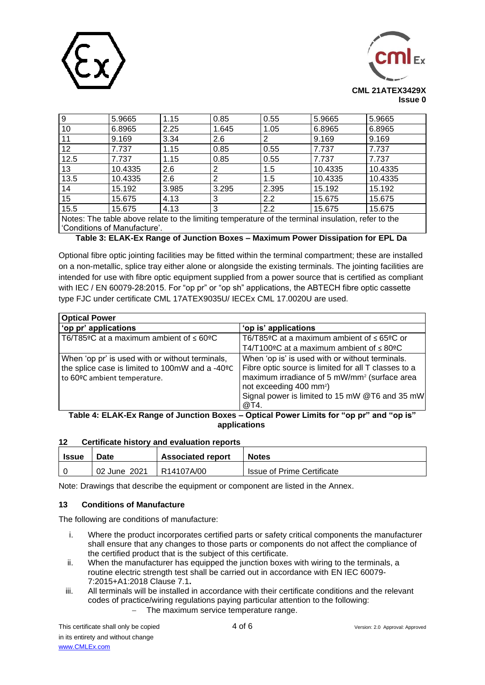



| 9                                                                                                  | 5.9665  | 1.15  | 0.85  | 0.55  | 5.9665  | 5.9665  |
|----------------------------------------------------------------------------------------------------|---------|-------|-------|-------|---------|---------|
| 10                                                                                                 | 6.8965  | 2.25  | 1.645 | 1.05  | 6.8965  | 6.8965  |
| 11                                                                                                 | 9.169   | 3.34  | 2.6   | 2     | 9.169   | 9.169   |
| 12 <sub>2</sub>                                                                                    | 7.737   | 1.15  | 0.85  | 0.55  | 7.737   | 7.737   |
| 12.5                                                                                               | 7.737   | 1.15  | 0.85  | 0.55  | 7.737   | 7.737   |
| 13                                                                                                 | 10.4335 | 2.6   | 2     | 1.5   | 10.4335 | 10.4335 |
| 13.5                                                                                               | 10.4335 | 2.6   | 2     | 1.5   | 10.4335 | 10.4335 |
| 14                                                                                                 | 15.192  | 3.985 | 3.295 | 2.395 | 15.192  | 15.192  |
| 15                                                                                                 | 15.675  | 4.13  | 3     | 2.2   | 15.675  | 15.675  |
| 15.5                                                                                               | 15.675  | 4.13  | 3     | 2.2   | 15.675  | 15.675  |
| Notes: The table above relate to the limiting temperature of the terminal insulation, refer to the |         |       |       |       |         |         |

'Conditions of Manufacture'.

## **Table 3: ELAK-Ex Range of Junction Boxes – Maximum Power Dissipation for EPL Da**

Optional fibre optic jointing facilities may be fitted within the terminal compartment; these are installed on a non-metallic, splice tray either alone or alongside the existing terminals. The jointing facilities are intended for use with fibre optic equipment supplied from a power source that is certified as compliant with IEC / EN 60079-28:2015. For "op pr" or "op sh" applications, the ABTECH fibre optic cassette type FJC under certificate CML 17ATEX9035U/ IECEx CML 17.0020U are used.

| <b>Optical Power</b>                                                                                                               |                                                                                                                                                                                                                                                                      |  |  |
|------------------------------------------------------------------------------------------------------------------------------------|----------------------------------------------------------------------------------------------------------------------------------------------------------------------------------------------------------------------------------------------------------------------|--|--|
| 'op pr' applications                                                                                                               | 'op is' applications                                                                                                                                                                                                                                                 |  |  |
| T6/T85ºC at a maximum ambient of $\leq 60$ °C                                                                                      | T6/T85ºC at a maximum ambient of ≤ 65ºC or<br>T4/T100°C at a maximum ambient of $\leq 80$ °C                                                                                                                                                                         |  |  |
| When 'op pr' is used with or without terminals,<br>the splice case is limited to 100mW and a -40°C<br>to 60ºC ambient temperature. | When 'op is' is used with or without terminals.<br>Fibre optic source is limited for all T classes to a<br>maximum irradiance of 5 mW/mm <sup>2</sup> (surface area<br>not exceeding 400 mm <sup>2</sup> )<br>Signal power is limited to 15 mW @T6 and 35 mW<br>@T4. |  |  |
| Table 4: ELAK-Ex Range of Junction Boxes – Optical Power Limits for "op pr" and "op is"                                            |                                                                                                                                                                                                                                                                      |  |  |

**applications**

#### **12 Certificate history and evaluation reports**

| <b>Issue</b> | Date         | <b>Associated report</b> | <b>Notes</b>                      |
|--------------|--------------|--------------------------|-----------------------------------|
|              | 02 June 2021 | R14107A/00               | <b>Issue of Prime Certificate</b> |

Note: Drawings that describe the equipment or component are listed in the Annex.

### **13 Conditions of Manufacture**

The following are conditions of manufacture:

- i. Where the product incorporates certified parts or safety critical components the manufacturer shall ensure that any changes to those parts or components do not affect the compliance of the certified product that is the subject of this certificate.
- ii. When the manufacturer has equipped the junction boxes with wiring to the terminals, a routine electric strength test shall be carried out in accordance with EN IEC 60079- 7:2015+A1:2018 Clause 7.1**.**
- iii. All terminals will be installed in accordance with their certificate conditions and the relevant codes of practice/wiring regulations paying particular attention to the following:
	- − The maximum service temperature range.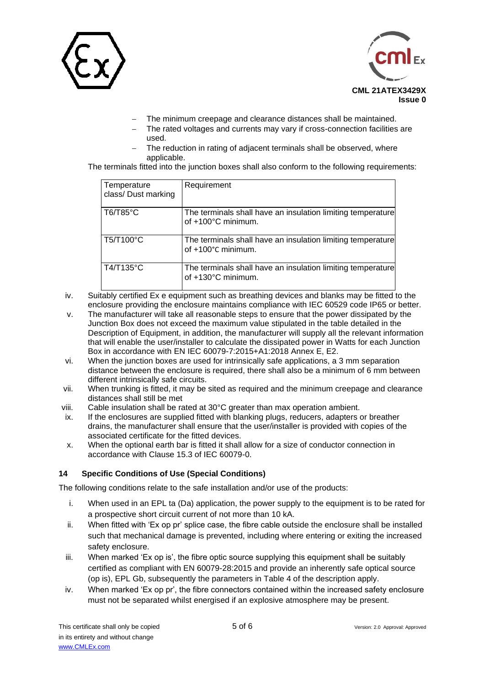



- The minimum creepage and clearance distances shall be maintained.
- The rated voltages and currents may vary if cross-connection facilities are used.
- The reduction in rating of adjacent terminals shall be observed, where applicable.

The terminals fitted into the junction boxes shall also conform to the following requirements:

| Temperature<br>class/Dust marking | Requirement                                                                       |
|-----------------------------------|-----------------------------------------------------------------------------------|
| T6/T85°C                          | The terminals shall have an insulation limiting temperature<br>of +100°C minimum. |
| T5/T100°C                         | The terminals shall have an insulation limiting temperature<br>of +100°C minimum. |
| T4/T135°C                         | The terminals shall have an insulation limiting temperature<br>of +130°C minimum. |

- iv. Suitably certified Ex e equipment such as breathing devices and blanks may be fitted to the enclosure providing the enclosure maintains compliance with IEC 60529 code IP65 or better.
- v. The manufacturer will take all reasonable steps to ensure that the power dissipated by the Junction Box does not exceed the maximum value stipulated in the table detailed in the Description of Equipment, in addition, the manufacturer will supply all the relevant information that will enable the user/installer to calculate the dissipated power in Watts for each Junction Box in accordance with EN IEC 60079-7:2015+A1:2018 Annex E, E2.
- vi. When the junction boxes are used for intrinsically safe applications, a 3 mm separation distance between the enclosure is required, there shall also be a minimum of 6 mm between different intrinsically safe circuits.
- vii. When trunking is fitted, it may be sited as required and the minimum creepage and clearance distances shall still be met
- viii. Cable insulation shall be rated at 30°C greater than max operation ambient.
- ix. If the enclosures are supplied fitted with blanking plugs, reducers, adapters or breather drains, the manufacturer shall ensure that the user/installer is provided with copies of the associated certificate for the fitted devices.
- x. When the optional earth bar is fitted it shall allow for a size of conductor connection in accordance with Clause 15.3 of IEC 60079-0.

### **14 Specific Conditions of Use (Special Conditions)**

The following conditions relate to the safe installation and/or use of the products:

- i. When used in an EPL ta (Da) application, the power supply to the equipment is to be rated for a prospective short circuit current of not more than 10 kA.
- ii. When fitted with 'Ex op pr' splice case, the fibre cable outside the enclosure shall be installed such that mechanical damage is prevented, including where entering or exiting the increased safety enclosure.
- iii. When marked 'Ex op is', the fibre optic source supplying this equipment shall be suitably certified as compliant with EN 60079-28:2015 and provide an inherently safe optical source (op is), EPL Gb, subsequently the parameters in Table 4 of the description apply.
- iv. When marked 'Ex op pr', the fibre connectors contained within the increased safety enclosure must not be separated whilst energised if an explosive atmosphere may be present.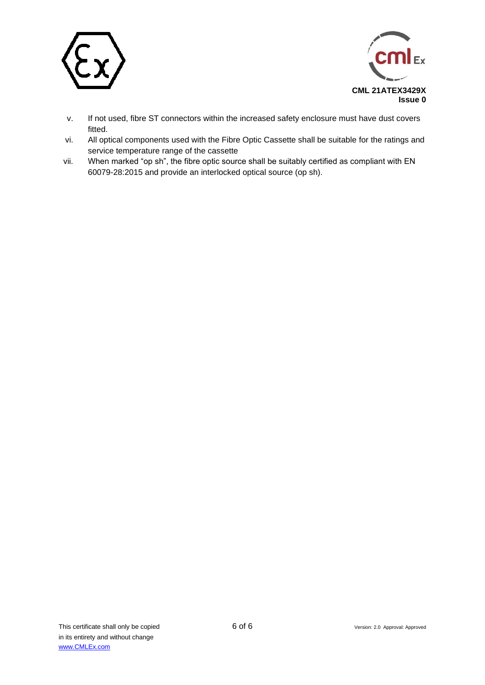



- v. If not used, fibre ST connectors within the increased safety enclosure must have dust covers fitted.
- vi. All optical components used with the Fibre Optic Cassette shall be suitable for the ratings and service temperature range of the cassette
- vii. When marked "op sh", the fibre optic source shall be suitably certified as compliant with EN 60079-28:2015 and provide an interlocked optical source (op sh).